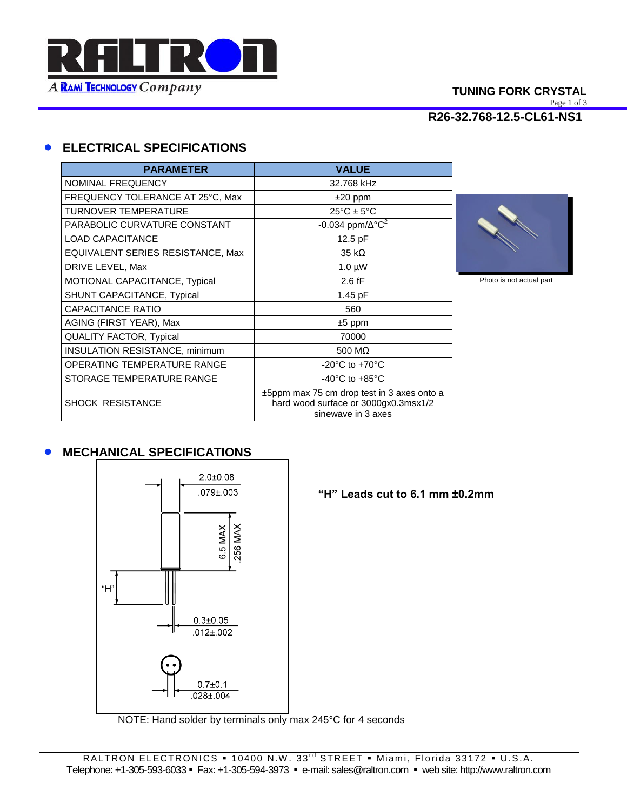

# **TUNING FORK CRYSTAL**

Page 1 of 3

**R26-32.768-12.5-CL61-NS1**

# **ELECTRICAL SPECIFICATIONS**

| <b>PARAMETER</b>                      | <b>VALUE</b>                                                                                                  |
|---------------------------------------|---------------------------------------------------------------------------------------------------------------|
| NOMINAL FREQUENCY                     | 32.768 kHz                                                                                                    |
| FREQUENCY TOLERANCE AT 25°C, Max      | $±20$ ppm                                                                                                     |
| <b>TURNOVER TEMPERATURE</b>           | $25^{\circ}$ C ± 5 $^{\circ}$ C                                                                               |
| PARABOLIC CURVATURE CONSTANT          | -0.034 ppm/ $\Delta$ °C <sup>2</sup>                                                                          |
| <b>LOAD CAPACITANCE</b>               | 12.5 pF                                                                                                       |
| EQUIVALENT SERIES RESISTANCE, Max     | $35 k\Omega$                                                                                                  |
| DRIVE LEVEL, Max                      | $1.0 \mu W$                                                                                                   |
| MOTIONAL CAPACITANCE, Typical         | $2.6$ fF                                                                                                      |
| SHUNT CAPACITANCE, Typical            | $1.45$ pF                                                                                                     |
| <b>CAPACITANCE RATIO</b>              | 560                                                                                                           |
| AGING (FIRST YEAR), Max               | $±5$ ppm                                                                                                      |
| <b>QUALITY FACTOR, Typical</b>        | 70000                                                                                                         |
| <b>INSULATION RESISTANCE, minimum</b> | 500 M $\Omega$                                                                                                |
| OPERATING TEMPERATURE RANGE           | -20 $\mathrm{^{\circ}C}$ to +70 $\mathrm{^{\circ}C}$                                                          |
| STORAGE TEMPERATURE RANGE             | $-40^{\circ}$ C to $+85^{\circ}$ C                                                                            |
| <b>SHOCK RESISTANCE</b>               | $\pm$ 5ppm max 75 cm drop test in 3 axes onto a<br>hard wood surface or 3000gx0.3msx1/2<br>sinewave in 3 axes |



Photo is not actual part

## **• MECHANICAL SPECIFICATIONS**



**"H" Leads cut to 6.1 mm ±0.2mm**

NOTE: Hand solder by terminals only max 245°C for 4 seconds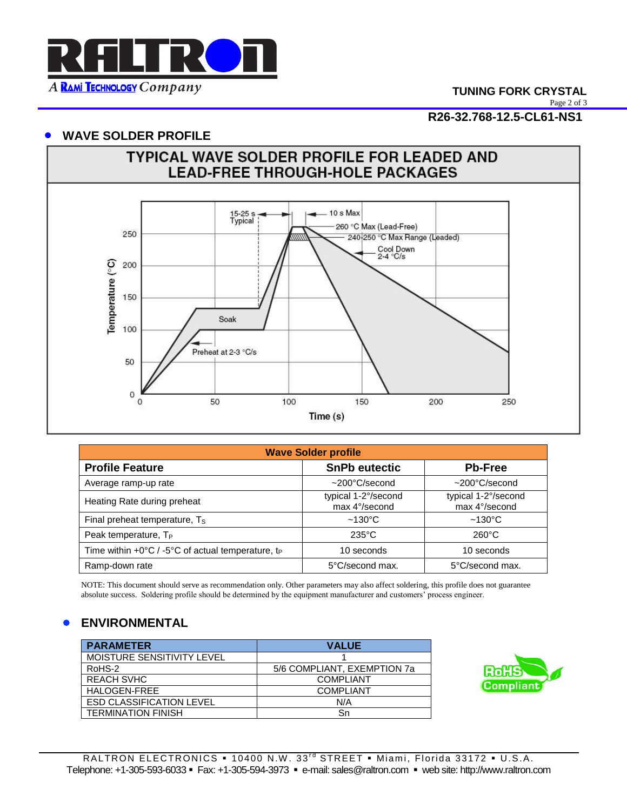

Page 2 of 3

**R26-32.768-12.5-CL61-NS1**

#### **WAVE SOLDER PROFILE**



| <b>Wave Solder profile</b>                                                    |                                      |                                      |  |
|-------------------------------------------------------------------------------|--------------------------------------|--------------------------------------|--|
| <b>Profile Feature</b>                                                        | <b>SnPb eutectic</b>                 | <b>Pb-Free</b>                       |  |
| Average ramp-up rate                                                          | $\sim$ 200 $^{\circ}$ C/second       | $~1200^{\circ}$ C/second             |  |
| Heating Rate during preheat                                                   | typical 1-2°/second<br>max 4°/second | typical 1-2°/second<br>max 4°/second |  |
| Final preheat temperature, T <sub>S</sub>                                     | $~130^{\circ}$ C                     | $~130^{\circ}$ C                     |  |
| Peak temperature, $T_P$                                                       | $235^{\circ}$ C                      | $260^{\circ}$ C                      |  |
| Time within $+0^{\circ}C / -5^{\circ}C$ of actual temperature, t <sub>p</sub> | 10 seconds                           | 10 seconds                           |  |
| Ramp-down rate                                                                | 5°C/second max.                      | 5°C/second max.                      |  |

 NOTE: This document should serve as recommendation only. Other parameters may also affect soldering, this profile does not guarantee absolute success. Soldering profile should be determined by the equipment manufacturer and customers' process engineer.

## **ENVIRONMENTAL**

| <b>PARAMETER</b>                | <b>VALUE</b>                |
|---------------------------------|-----------------------------|
| MOISTURE SENSITIVITY LEVEL      |                             |
| RoHS-2                          | 5/6 COMPLIANT, EXEMPTION 7a |
| <b>REACH SVHC</b>               | <b>COMPLIANT</b>            |
| HALOGEN-FREE                    | <b>COMPLIANT</b>            |
| <b>ESD CLASSIFICATION LEVEL</b> | N/A                         |
| <b>TERMINATION FINISH</b>       | Sn                          |